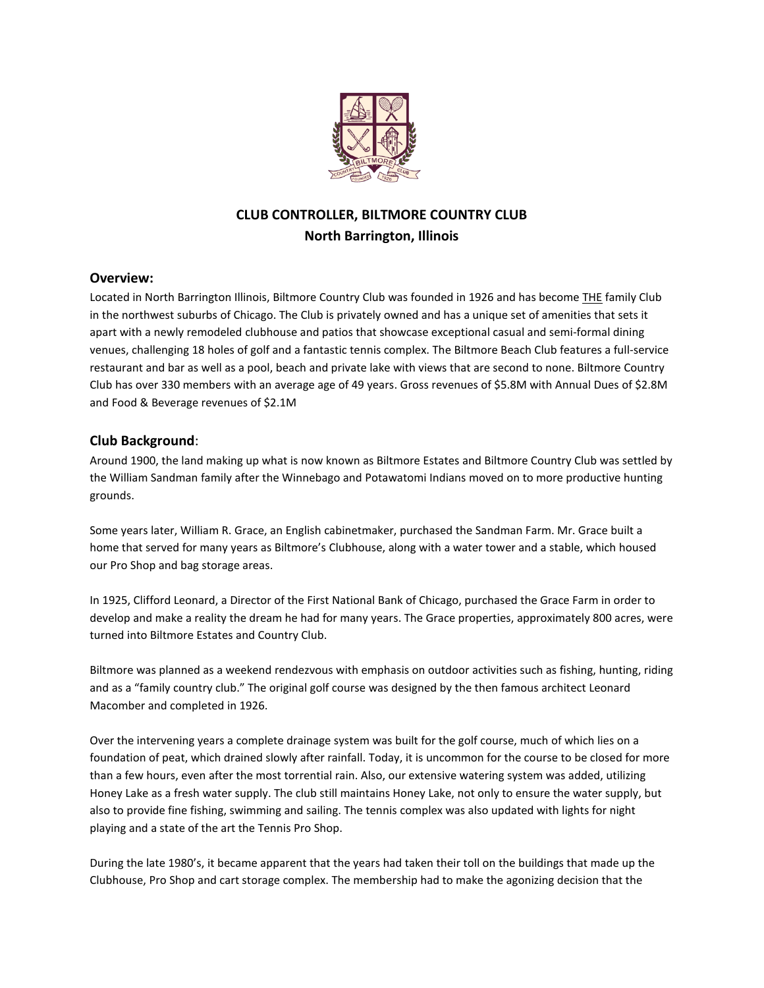

# **CLUB CONTROLLER, BILTMORE COUNTRY CLUB North Barrington, Illinois**

# **Overview:**

Located in North Barrington Illinois, Biltmore Country Club was founded in 1926 and has become THE family Club in the northwest suburbs of Chicago. The Club is privately owned and has a unique set of amenities that sets it apart with a newly remodeled clubhouse and patios that showcase exceptional casual and semi-formal dining venues, challenging 18 holes of golf and a fantastic tennis complex. The Biltmore Beach Club features a full-service restaurant and bar as well as a pool, beach and private lake with views that are second to none. Biltmore Country Club has over 330 members with an average age of 49 years. Gross revenues of \$5.8M with Annual Dues of \$2.8M and Food & Beverage revenues of \$2.1M

# **Club Background**:

Around 1900, the land making up what is now known as Biltmore Estates and Biltmore Country Club was settled by the William Sandman family after the Winnebago and Potawatomi Indians moved on to more productive hunting grounds.

Some years later, William R. Grace, an English cabinetmaker, purchased the Sandman Farm. Mr. Grace built a home that served for many years as Biltmore's Clubhouse, along with a water tower and a stable, which housed our Pro Shop and bag storage areas.

In 1925, Clifford Leonard, a Director of the First National Bank of Chicago, purchased the Grace Farm in order to develop and make a reality the dream he had for many years. The Grace properties, approximately 800 acres, were turned into Biltmore Estates and Country Club.

Biltmore was planned as a weekend rendezvous with emphasis on outdoor activities such as fishing, hunting, riding and as a "family country club." The original golf course was designed by the then famous architect Leonard Macomber and completed in 1926.

Over the intervening years a complete drainage system was built for the golf course, much of which lies on a foundation of peat, which drained slowly after rainfall. Today, it is uncommon for the course to be closed for more than a few hours, even after the most torrential rain. Also, our extensive watering system was added, utilizing Honey Lake as a fresh water supply. The club still maintains Honey Lake, not only to ensure the water supply, but also to provide fine fishing, swimming and sailing. The tennis complex was also updated with lights for night playing and a state of the art the Tennis Pro Shop.

During the late 1980's, it became apparent that the years had taken their toll on the buildings that made up the Clubhouse, Pro Shop and cart storage complex. The membership had to make the agonizing decision that the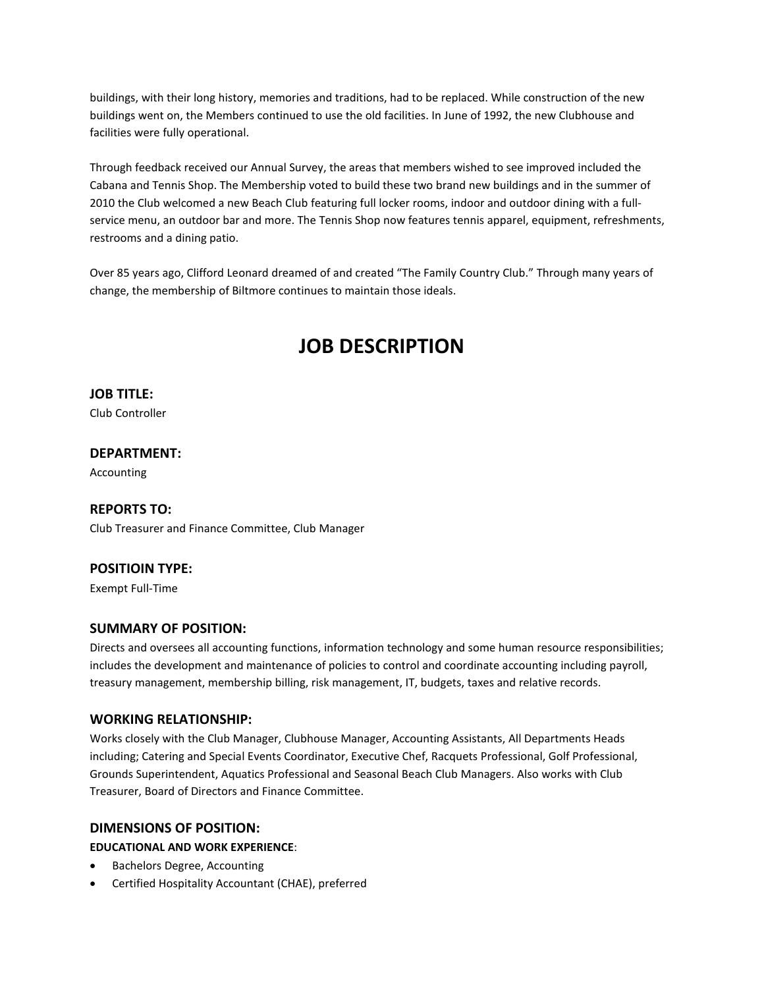buildings, with their long history, memories and traditions, had to be replaced. While construction of the new buildings went on, the Members continued to use the old facilities. In June of 1992, the new Clubhouse and facilities were fully operational.

Through feedback received our Annual Survey, the areas that members wished to see improved included the Cabana and Tennis Shop. The Membership voted to build these two brand new buildings and in the summer of 2010 the Club welcomed a new Beach Club featuring full locker rooms, indoor and outdoor dining with a fullservice menu, an outdoor bar and more. The Tennis Shop now features tennis apparel, equipment, refreshments, restrooms and a dining patio.

Over 85 years ago, Clifford Leonard dreamed of and created "The Family Country Club." Through many years of change, the membership of Biltmore continues to maintain those ideals.

# **JOB DESCRIPTION**

**JOB TITLE:**

Club Controller

# **DEPARTMENT:**

Accounting

#### **REPORTS TO:**

Club Treasurer and Finance Committee, Club Manager

# **POSITIOIN TYPE:**

Exempt Full-Time

# **SUMMARY OF POSITION:**

Directs and oversees all accounting functions, information technology and some human resource responsibilities; includes the development and maintenance of policies to control and coordinate accounting including payroll, treasury management, membership billing, risk management, IT, budgets, taxes and relative records.

#### **WORKING RELATIONSHIP:**

Works closely with the Club Manager, Clubhouse Manager, Accounting Assistants, All Departments Heads including; Catering and Special Events Coordinator, Executive Chef, Racquets Professional, Golf Professional, Grounds Superintendent, Aquatics Professional and Seasonal Beach Club Managers. Also works with Club Treasurer, Board of Directors and Finance Committee.

#### **DIMENSIONS OF POSITION:**

#### **EDUCATIONAL AND WORK EXPERIENCE**:

- Bachelors Degree, Accounting
- Certified Hospitality Accountant (CHAE), preferred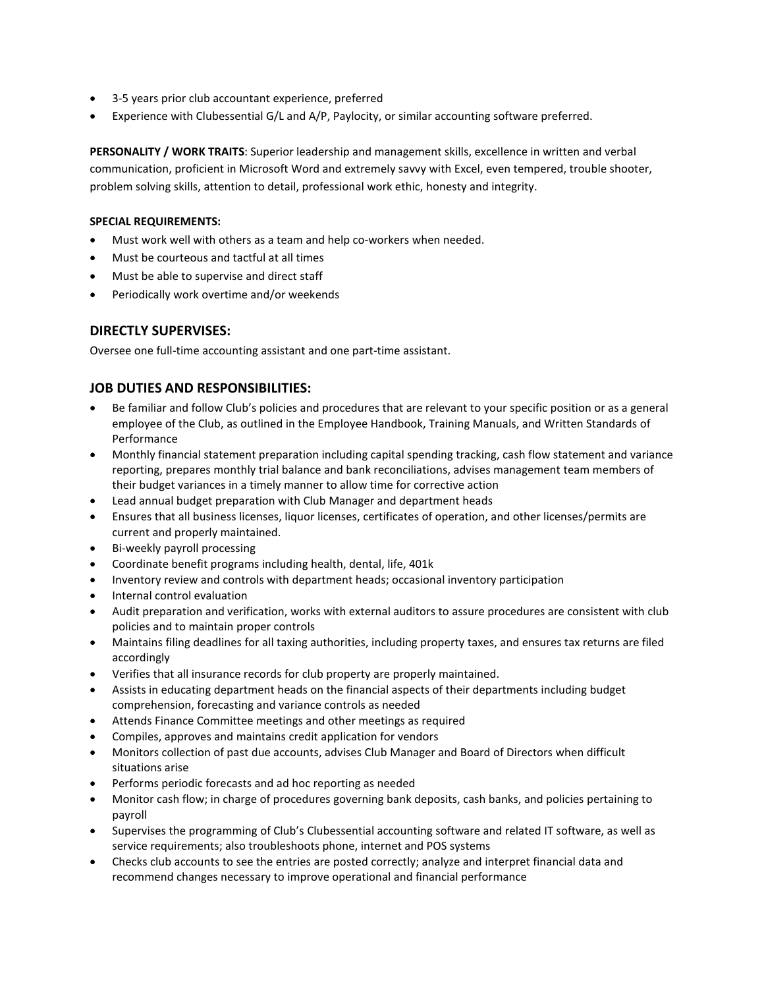- 3-5 years prior club accountant experience, preferred
- Experience with Clubessential G/L and A/P, Paylocity, or similar accounting software preferred.

**PERSONALITY / WORK TRAITS**: Superior leadership and management skills, excellence in written and verbal communication, proficient in Microsoft Word and extremely savvy with Excel, even tempered, trouble shooter, problem solving skills, attention to detail, professional work ethic, honesty and integrity.

#### **SPECIAL REQUIREMENTS:**

- Must work well with others as a team and help co-workers when needed.
- Must be courteous and tactful at all times
- Must be able to supervise and direct staff
- Periodically work overtime and/or weekends

# **DIRECTLY SUPERVISES:**

Oversee one full-time accounting assistant and one part-time assistant.

# **JOB DUTIES AND RESPONSIBILITIES:**

- Be familiar and follow Club's policies and procedures that are relevant to your specific position or as a general employee of the Club, as outlined in the Employee Handbook, Training Manuals, and Written Standards of Performance
- Monthly financial statement preparation including capital spending tracking, cash flow statement and variance reporting, prepares monthly trial balance and bank reconciliations, advises management team members of their budget variances in a timely manner to allow time for corrective action
- Lead annual budget preparation with Club Manager and department heads
- Ensures that all business licenses, liquor licenses, certificates of operation, and other licenses/permits are current and properly maintained.
- Bi-weekly payroll processing
- Coordinate benefit programs including health, dental, life, 401k
- Inventory review and controls with department heads; occasional inventory participation
- Internal control evaluation
- Audit preparation and verification, works with external auditors to assure procedures are consistent with club policies and to maintain proper controls
- Maintains filing deadlines for all taxing authorities, including property taxes, and ensures tax returns are filed accordingly
- Verifies that all insurance records for club property are properly maintained.
- Assists in educating department heads on the financial aspects of their departments including budget comprehension, forecasting and variance controls as needed
- Attends Finance Committee meetings and other meetings as required
- Compiles, approves and maintains credit application for vendors
- Monitors collection of past due accounts, advises Club Manager and Board of Directors when difficult situations arise
- Performs periodic forecasts and ad hoc reporting as needed
- Monitor cash flow; in charge of procedures governing bank deposits, cash banks, and policies pertaining to payroll
- Supervises the programming of Club's Clubessential accounting software and related IT software, as well as service requirements; also troubleshoots phone, internet and POS systems
- Checks club accounts to see the entries are posted correctly; analyze and interpret financial data and recommend changes necessary to improve operational and financial performance